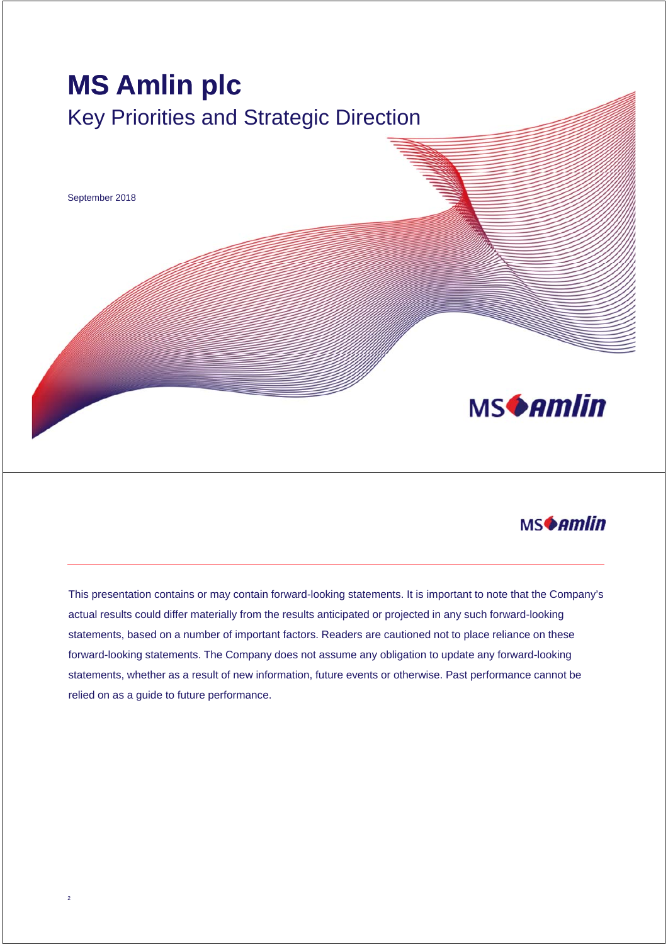



This presentation contains or may contain forward-looking statements. It is important to note that the Company's actual results could differ materially from the results anticipated or projected in any such forward-looking statements, based on a number of important factors. Readers are cautioned not to place reliance on these forward-looking statements. The Company does not assume any obligation to update any forward-looking statements, whether as a result of new information, future events or otherwise. Past performance cannot be relied on as a guide to future performance.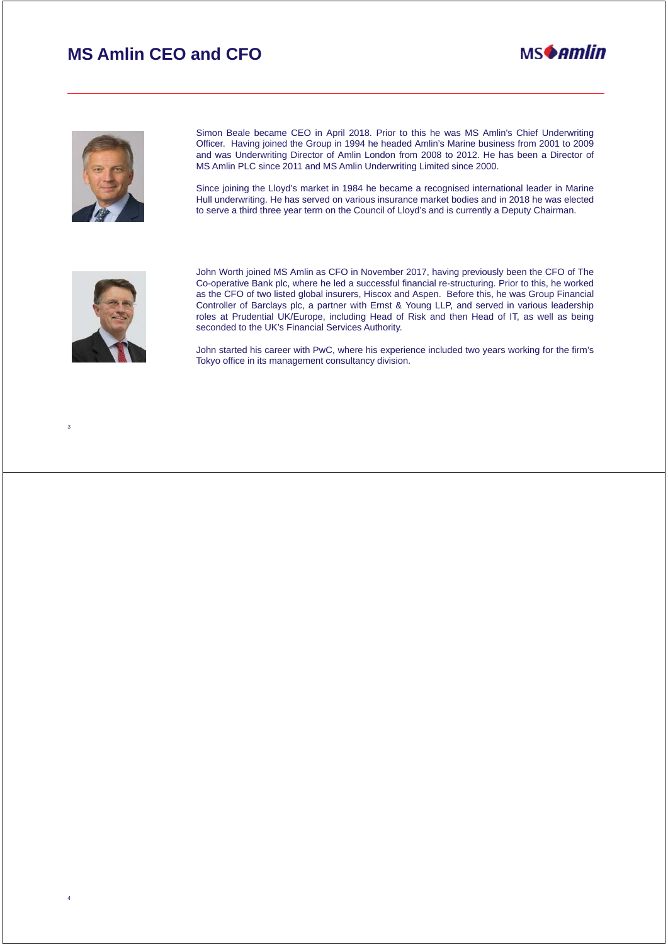# **MS Amlin CEO and CFO**





Simon Beale became CEO in April 2018. Prior to this he was MS Amlin's Chief Underwriting Officer. Having joined the Group in 1994 he headed Amlin's Marine business from 2001 to 2009 and was Underwriting Director of Amlin London from 2008 to 2012. He has been a Director of MS Amlin PLC since 2011 and MS Amlin Underwriting Limited since 2000.

Since joining the Lloyd's market in 1984 he became a recognised international leader in Marine Hull underwriting. He has served on various insurance market bodies and in 2018 he was elected to serve a third three year term on the Council of Lloyd's and is currently a Deputy Chairman.



3

4

John Worth joined MS Amlin as CFO in November 2017, having previously been the CFO of The Co-operative Bank plc, where he led a successful financial re-structuring. Prior to this, he worked as the CFO of two listed global insurers, Hiscox and Aspen. Before this, he was Group Financial Controller of Barclays plc, a partner with Ernst & Young LLP, and served in various leadership roles at Prudential UK/Europe, including Head of Risk and then Head of IT, as well as being seconded to the UK's Financial Services Authority.

John started his career with PwC, where his experience included two years working for the firm's Tokyo office in its management consultancy division.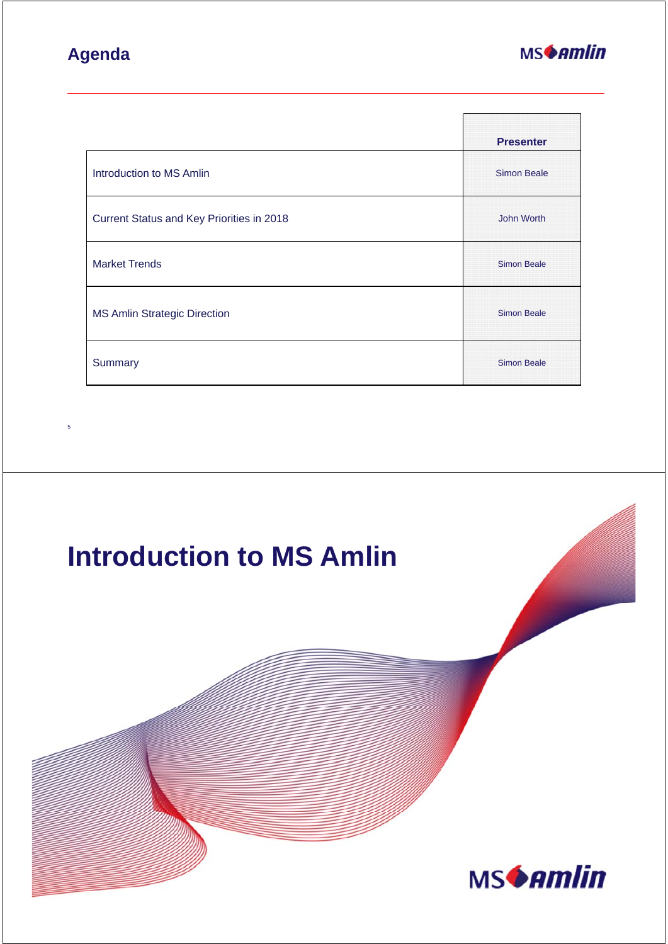# **Agenda**



|                                           | <b>Presenter</b>   |
|-------------------------------------------|--------------------|
| Introduction to MS Amlin                  | <b>Simon Beale</b> |
| Current Status and Key Priorities in 2018 | John Worth         |
| <b>Market Trends</b>                      | <b>Simon Beale</b> |
| <b>MS Amlin Strategic Direction</b>       | <b>Simon Beale</b> |
| Summary                                   | <b>Simon Beale</b> |



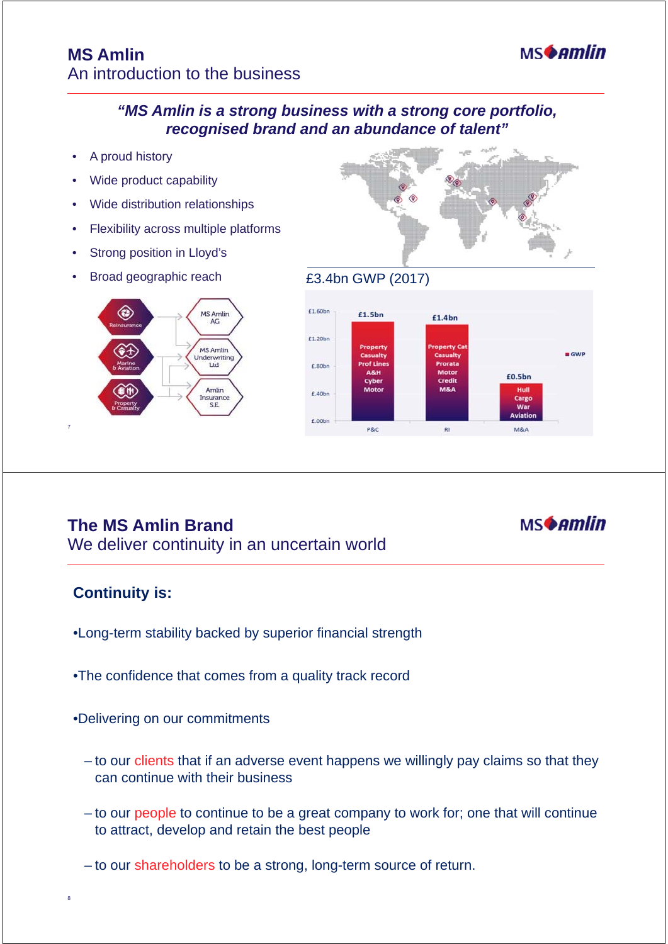

- A proud history
- Wide product capability
- Wide distribution relationships
- Flexibility across multiple platforms
- Strong position in Lloyd's
- Broad geographic reach £3.4bn GWP (2017)







# **The MS Amlin Brand**

We deliver continuity in an uncertain world

#### **Continuity is:**

7

- •Long-term stability backed by superior financial strength
- •The confidence that comes from a quality track record
- •Delivering on our commitments
	- to our clients that if an adverse event happens we willingly pay claims so that they can continue with their business
	- to our people to continue to be a great company to work for; one that will continue to attract, develop and retain the best people
	- to our shareholders to be a strong, long-term source of return.



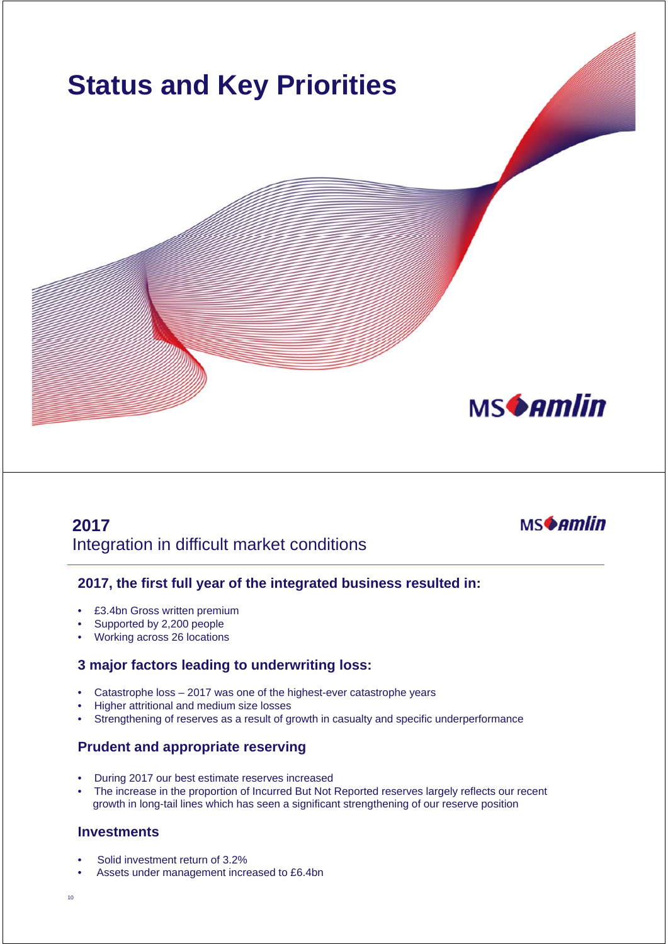

# **2017** Integration in difficult market conditions



#### **2017, the first full year of the integrated business resulted in:**

- £3.4bn Gross written premium
- Supported by 2,200 people
- Working across 26 locations

#### **3 major factors leading to underwriting loss:**

- Catastrophe loss 2017 was one of the highest-ever catastrophe years
- Higher attritional and medium size losses
- Strengthening of reserves as a result of growth in casualty and specific underperformance

#### **Prudent and appropriate reserving**

- During 2017 our best estimate reserves increased
- The increase in the proportion of Incurred But Not Reported reserves largely reflects our recent growth in long-tail lines which has seen a significant strengthening of our reserve position

#### **Investments**

- Solid investment return of 3.2%
- Assets under management increased to £6.4bn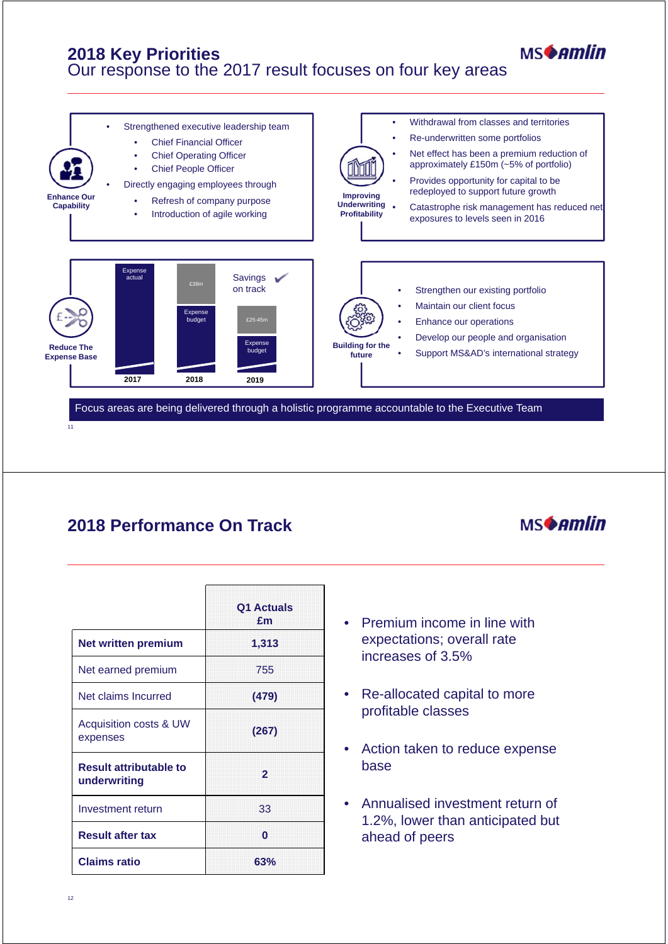### **2018 Key Priorities** Our response to the 2017 result focuses on four key areas



# **2018 Performance On Track**



**MSAmlin** 

|                                               | Q1 Actuals<br>£m |
|-----------------------------------------------|------------------|
| Net written premium                           | 1,313            |
| Net earned premium                            | 755              |
| Net claims Incurred                           | (479)            |
| Acquisition costs & UW<br>expenses            | (267)            |
| <b>Result attributable to</b><br>underwriting | $\overline{2}$   |
| Investment return                             | 33               |
| <b>Result after tax</b>                       | O                |
| <b>Claims ratio</b>                           | 63%              |

- Premium income in line with expectations; overall rate increases of 3.5%
- Re-allocated capital to more profitable classes
- Action taken to reduce expense base
- Annualised investment return of 1.2%, lower than anticipated but ahead of peers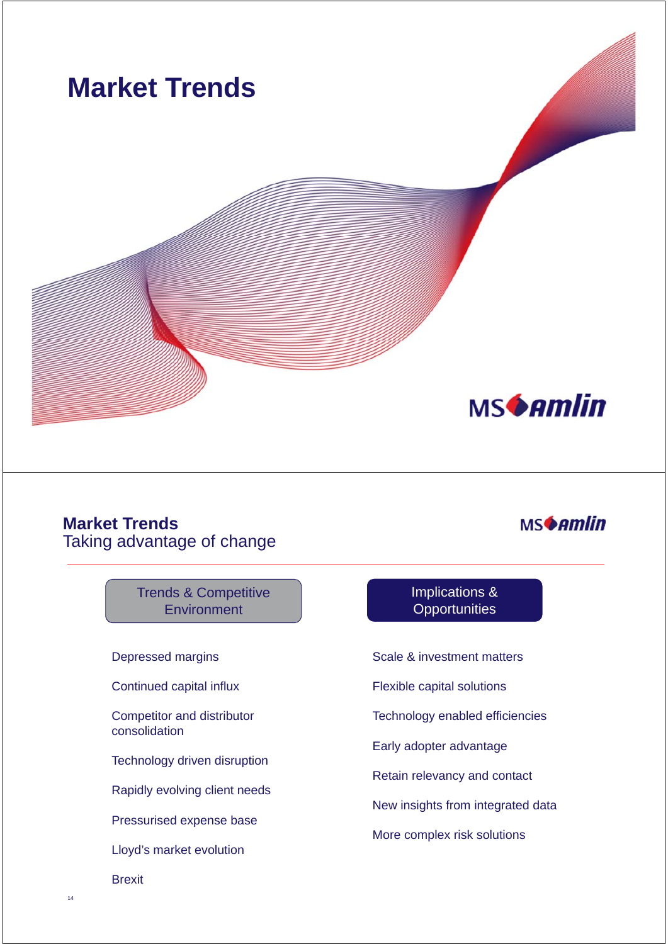

#### **Market Trends** Taking advantage of change

#### Trends & Competitive **Environment**

Depressed margins

Continued capital influx

Competitor and distributor consolidation

Technology driven disruption

Rapidly evolving client needs

Pressurised expense base

Lloyd's market evolution

Brexit

#### Implications & **Opportunities**

**MSAmlin** 

Scale & investment matters

Flexible capital solutions

Technology enabled efficiencies

Early adopter advantage

Retain relevancy and contact

New insights from integrated data

More complex risk solutions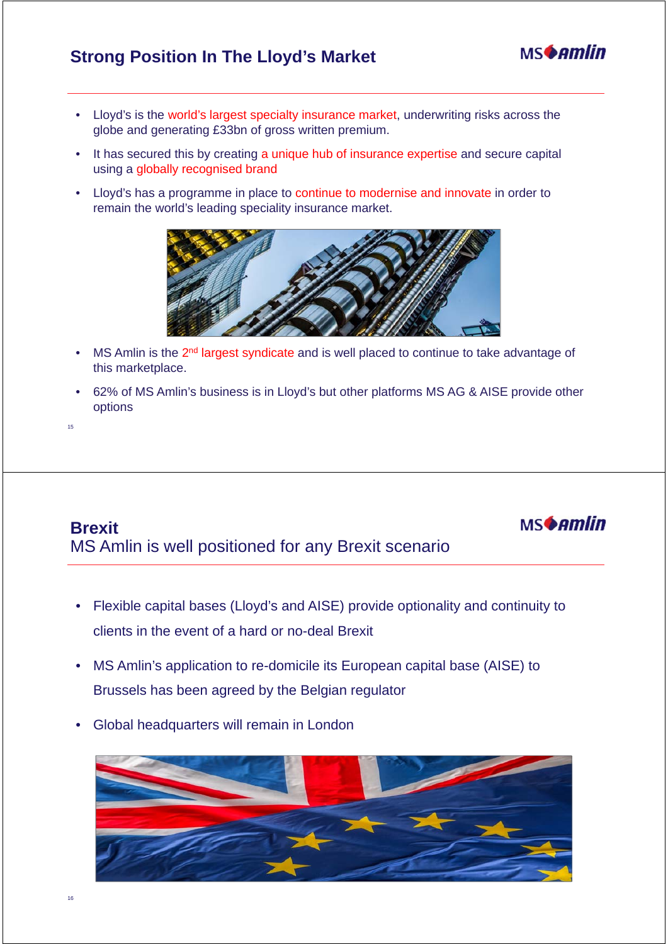# **Strong Position In The Lloyd's Market**



**MSAmlin** 

- Lloyd's is the world's largest specialty insurance market, underwriting risks across the globe and generating £33bn of gross written premium.
- It has secured this by creating a unique hub of insurance expertise and secure capital using a globally recognised brand
- Lloyd's has a programme in place to continue to modernise and innovate in order to remain the world's leading speciality insurance market.



- MS Amlin is the 2<sup>nd</sup> largest syndicate and is well placed to continue to take advantage of this marketplace.
- 62% of MS Amlin's business is in Lloyd's but other platforms MS AG & AISE provide other options

15

# **Brexit** MS Amlin is well positioned for any Brexit scenario

- Flexible capital bases (Lloyd's and AISE) provide optionality and continuity to clients in the event of a hard or no-deal Brexit
- MS Amlin's application to re-domicile its European capital base (AISE) to Brussels has been agreed by the Belgian regulator
- Global headquarters will remain in London

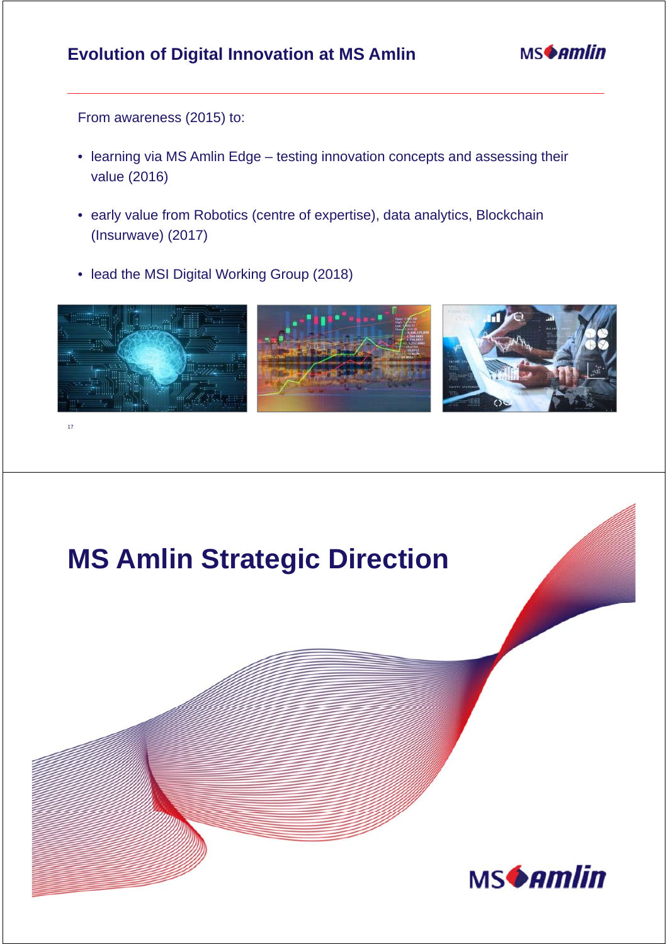# **Evolution of Digital Innovation at MS Amlin**



From awareness (2015) to:

<sub>17</sub>

- learning via MS Amlin Edge testing innovation concepts and assessing their value (2016)
- early value from Robotics (centre of expertise), data analytics, Blockchain (Insurwave) (2017)
- lead the MSI Digital Working Group (2018)



# **MS Amlin Strategic DirectionMSGAMIN**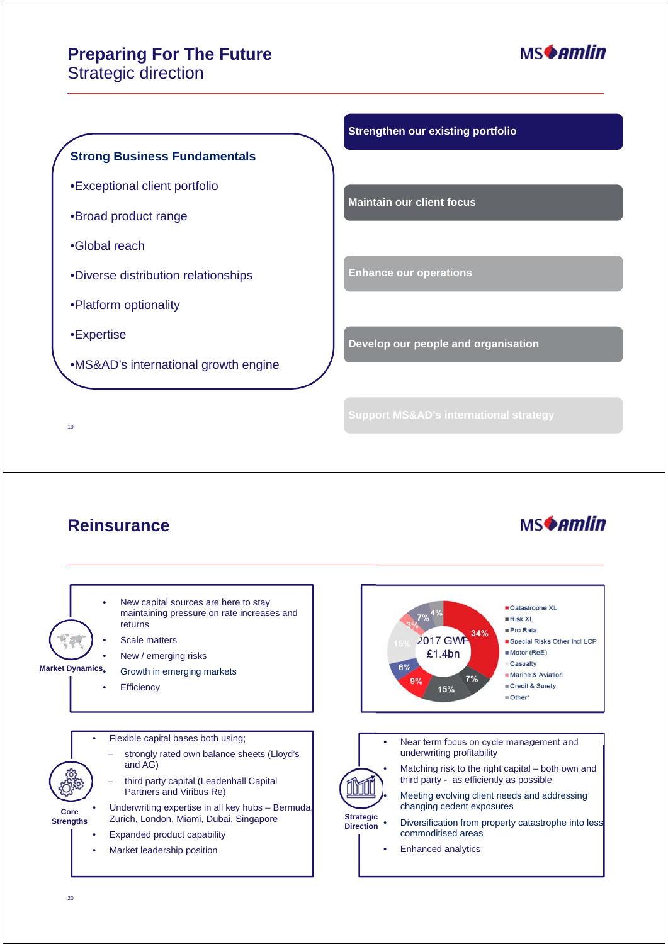# **Preparing For The Future**

Strategic direction



**MSAmlin** 

#### **Strong Business Fundamentals**

- •Exceptional client portfolio
- •Broad product range
- •Global reach
- •Diverse distribution relationships
- •Platform optionality
- •Expertise

19

•MS&AD's international growth engine

#### **Strengthen our existing portfolio**

**Maintain our client focus**

**Enhance our operations**

**Develop our people and organisation**

## **Reinsurance**

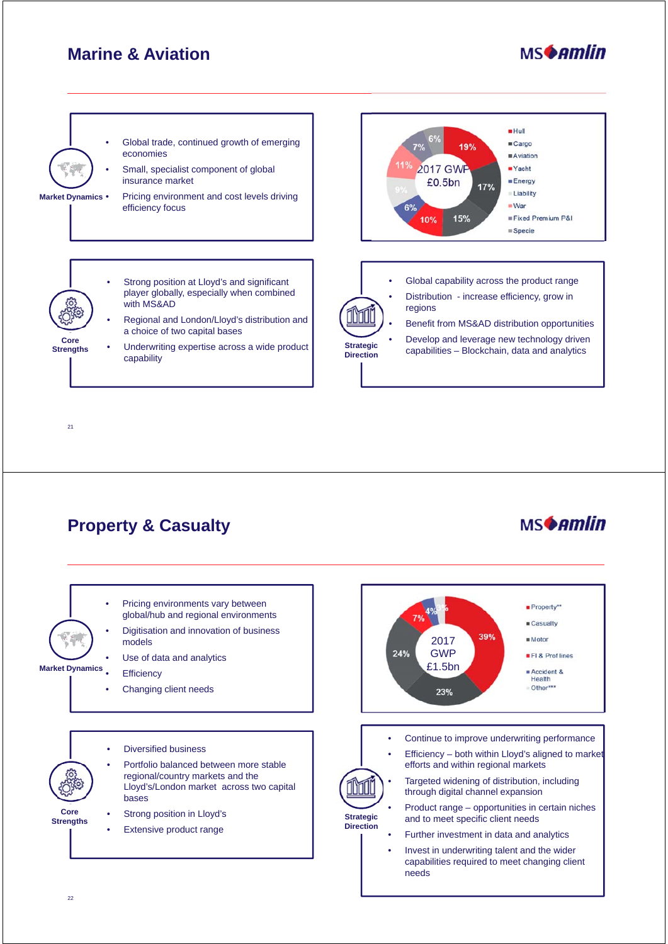# **Marine & Aviation**





# **Property & Casualty**